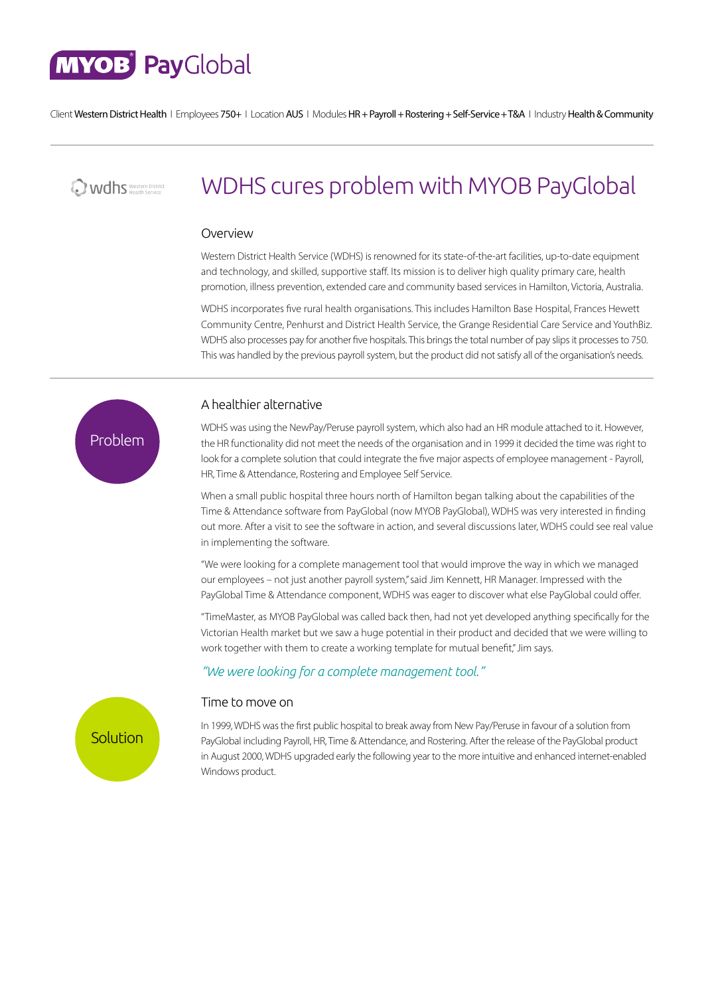

Client Western District Health I Employees 750+ I Location AUS I Modules HR + Payroll + Rostering + Self-Service + T&A I Industry Health & Community

# **Wdhs** Western District

# WDHS cures problem with MYOB PayGlobal

#### Overview

Western District Health Service (WDHS) is renowned for its state-of-the-art facilities, up-to-date equipment and technology, and skilled, supportive staff. Its mission is to deliver high quality primary care, health promotion, illness prevention, extended care and community based services in Hamilton, Victoria, Australia.

WDHS incorporates five rural health organisations. This includes Hamilton Base Hospital, Frances Hewett Community Centre, Penhurst and District Health Service, the Grange Residential Care Service and YouthBiz. WDHS also processes pay for another five hospitals. This brings the total number of pay slips it processes to 750. This was handled by the previous payroll system, but the product did not satisfy all of the organisation's needs.



#### A healthier alternative

WDHS was using the NewPay/Peruse payroll system, which also had an HR module attached to it. However, the HR functionality did not meet the needs of the organisation and in 1999 it decided the time was right to look for a complete solution that could integrate the five major aspects of employee management - Payroll, HR, Time & Attendance, Rostering and Employee Self Service.

When a small public hospital three hours north of Hamilton began talking about the capabilities of the Time & Attendance software from PayGlobal (now MYOB PayGlobal), WDHS was very interested in finding out more. After a visit to see the software in action, and several discussions later, WDHS could see real value in implementing the software.

"We were looking for a complete management tool that would improve the way in which we managed our employees – not just another payroll system," said Jim Kennett, HR Manager. Impressed with the PayGlobal Time & Attendance component, WDHS was eager to discover what else PayGlobal could offer.

"TimeMaster, as MYOB PayGlobal was called back then, had not yet developed anything specifically for the Victorian Health market but we saw a huge potential in their product and decided that we were willing to work together with them to create a working template for mutual benefit," Jim says.

# *"We were looking for a complete management tool."*



#### Time to move on

In 1999, WDHS was the first public hospital to break away from New Pay/Peruse in favour of a solution from PayGlobal including Payroll, HR, Time & Attendance, and Rostering. After the release of the PayGlobal product in August 2000, WDHS upgraded early the following year to the more intuitive and enhanced internet-enabled Windows product.